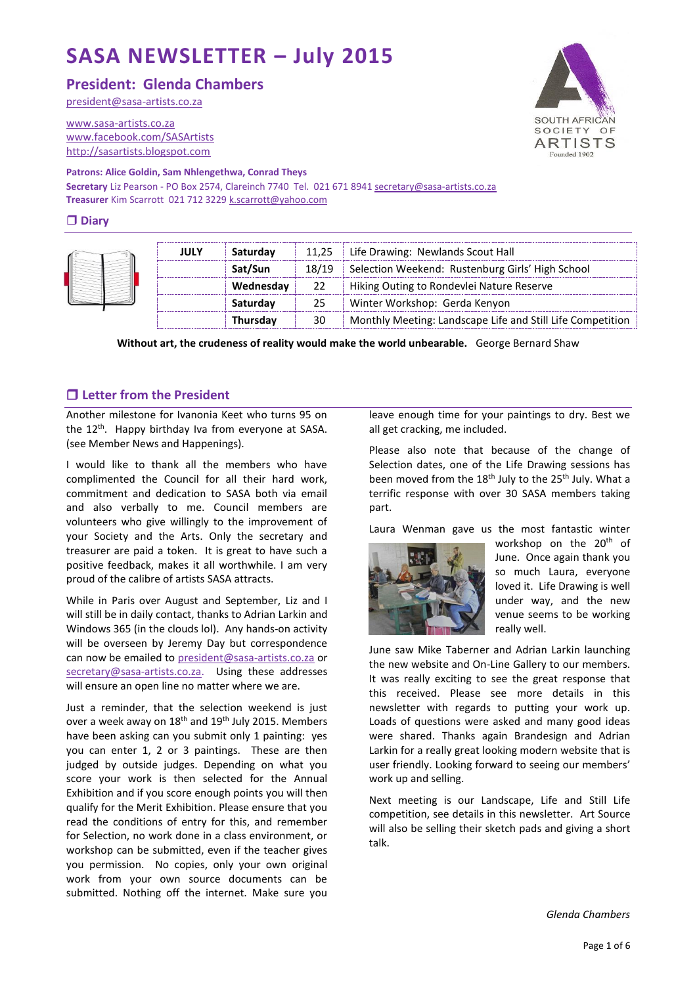# **SASA NEWSLETTER – July 2015**

# **President: Glenda Chambers**

[president@sasa-artists.co.za](mailto:president@sasa-artists.co.za)

[www.sasa-artists.co.za](http://www.sasa-artists.co.za/) [www.facebook.com/SASArtists](http://www.facebook.com/SASArtists) [http://sasartists.blogspot.com](http://sasartists.blogspot.com/)

## **Patrons: Alice Goldin, Sam Nhlengethwa, Conrad Theys**

**Secretary** Liz Pearson - PO Box 2574, Clareinch 7740 Tel. 021 671 894[1 secretary@sasa-artists.co.za](mailto:secretary@sasa-artists.co.za) **Treasurer** Kim Scarrott 021 712 3229 [k.scarrott@yahoo.com](mailto:k.scarrott@yahoo.com)

#### **Diary**

| JULY | Saturday  |       | 11,25   Life Drawing: Newlands Scout Hall                  |  |
|------|-----------|-------|------------------------------------------------------------|--|
|      | Sat/Sun   | 18/19 | Selection Weekend: Rustenburg Girls' High School           |  |
|      | Wednesday | 22    | Hiking Outing to Rondevlei Nature Reserve                  |  |
|      | Saturday  | 25.   | Winter Workshop: Gerda Kenyon                              |  |
|      | Thursday  | 30    | Monthly Meeting: Landscape Life and Still Life Competition |  |

**Without art, the crudeness of reality would make the world unbearable.** George Bernard Shaw

## **Letter from the President**

Another milestone for Ivanonia Keet who turns 95 on the 12<sup>th</sup>. Happy birthday Iva from everyone at SASA. (see Member News and Happenings).

I would like to thank all the members who have complimented the Council for all their hard work, commitment and dedication to SASA both via email and also verbally to me. Council members are volunteers who give willingly to the improvement of your Society and the Arts. Only the secretary and treasurer are paid a token. It is great to have such a positive feedback, makes it all worthwhile. I am very proud of the calibre of artists SASA attracts.

While in Paris over August and September, Liz and I will still be in daily contact, thanks to Adrian Larkin and Windows 365 (in the clouds lol). Any hands-on activity will be overseen by Jeremy Day but correspondence can now be emailed to [president@sasa-artists.co.za](mailto:president@sasa-artists.co.za) or [secretary@sasa-artists.co.za.](mailto:secretary@sasa-artists.co.za) Using these addresses will ensure an open line no matter where we are.

Just a reminder, that the selection weekend is just over a week away on 18<sup>th</sup> and 19<sup>th</sup> July 2015. Members have been asking can you submit only 1 painting: yes you can enter 1, 2 or 3 paintings. These are then judged by outside judges. Depending on what you score your work is then selected for the Annual Exhibition and if you score enough points you will then qualify for the Merit Exhibition. Please ensure that you read the conditions of entry for this, and remember for Selection, no work done in a class environment, or workshop can be submitted, even if the teacher gives you permission. No copies, only your own original work from your own source documents can be submitted. Nothing off the internet. Make sure you

leave enough time for your paintings to dry. Best we all get cracking, me included.

Please also note that because of the change of Selection dates, one of the Life Drawing sessions has been moved from the  $18<sup>th</sup>$  July to the  $25<sup>th</sup>$  July. What a terrific response with over 30 SASA members taking part.

Laura Wenman gave us the most fantastic winter



workshop on the 20<sup>th</sup> of June. Once again thank you so much Laura, everyone loved it. Life Drawing is well under way, and the new venue seems to be working really well.

June saw Mike Taberner and Adrian Larkin launching the new website and On-Line Gallery to our members. It was really exciting to see the great response that this received. Please see more details in this newsletter with regards to putting your work up. Loads of questions were asked and many good ideas were shared. Thanks again Brandesign and Adrian Larkin for a really great looking modern website that is user friendly. Looking forward to seeing our members' work up and selling.

Next meeting is our Landscape, Life and Still Life competition, see details in this newsletter. Art Source will also be selling their sketch pads and giving a short talk.

*Glenda Chambers*

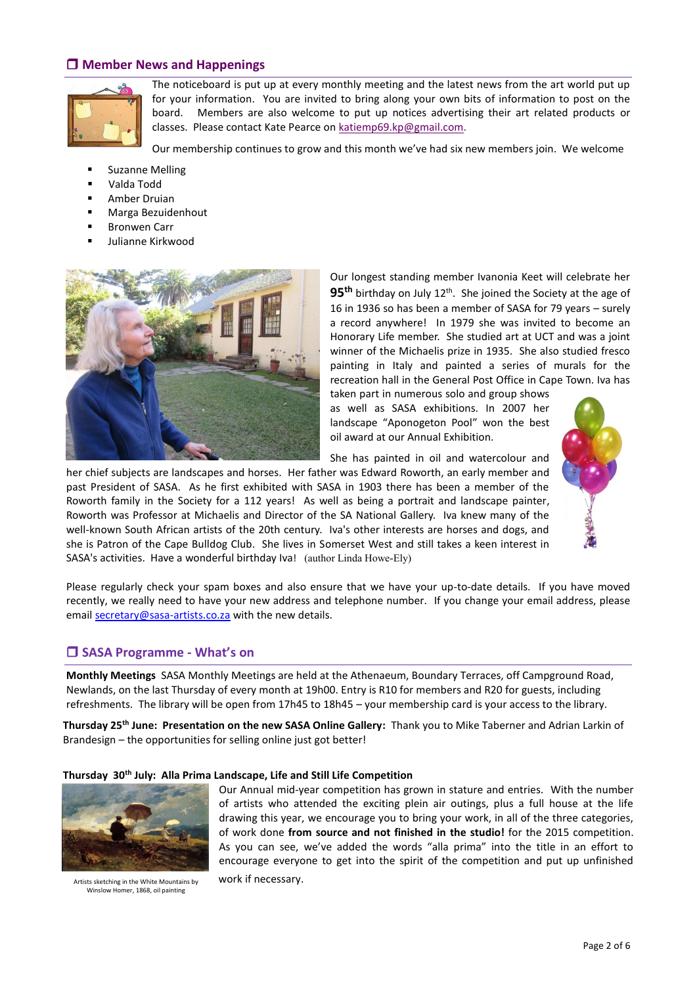## **Member News and Happenings**



The noticeboard is put up at every monthly meeting and the latest news from the art world put up for your information. You are invited to bring along your own bits of information to post on the board. Members are also welcome to put up notices advertising their art related products or classes. Please contact Kate Pearce on [katiemp69.kp@gmail.com.](mailto:katiemp69.kp@gmail.com)

Our membership continues to grow and this month we've had six new members join. We welcome

- **E** Suzanne Melling
- Valda Todd
- Amber Druian
- **Marga Bezuidenhout**
- Bronwen Carr
- Julianne Kirkwood



Our longest standing member Ivanonia Keet will celebrate her 95<sup>th</sup> birthday on July 12<sup>th</sup>. She joined the Society at the age of 16 in 1936 so has been a member of SASA for 79 years – surely a record anywhere! In 1979 she was invited to become an Honorary Life member. She studied art at UCT and was a joint winner of the Michaelis prize in 1935. She also studied fresco painting in Italy and painted a series of murals for the recreation hall in the General Post Office in Cape Town. Iva has

taken part in numerous solo and group shows as well as SASA exhibitions. In 2007 her landscape "Aponogeton Pool" won the best oil award at our Annual Exhibition.

She has painted in oil and watercolour and



her chief subjects are landscapes and horses. Her father was Edward Roworth, an early member and past President of SASA. As he first exhibited with SASA in 1903 there has been a member of the Roworth family in the Society for a 112 years! As well as being a portrait and landscape painter, Roworth was Professor at Michaelis and Director of the SA National Gallery. Iva knew many of the well-known South African artists of the 20th century. Iva's other interests are horses and dogs, and she is Patron of the Cape Bulldog Club. She lives in Somerset West and still takes a keen interest in

Please regularly check your spam boxes and also ensure that we have your up-to-date details. If you have moved recently, we really need to have your new address and telephone number. If you change your email address, please email [secretary@sasa-artists.co.za](mailto:secretary@sasa-artists.co.za) with the new details.

#### **SASA Programme - What's on**

**Monthly Meetings** SASA Monthly Meetings are held at the Athenaeum, Boundary Terraces, off Campground Road, Newlands, on the last Thursday of every month at 19h00. Entry is R10 for members and R20 for guests, including refreshments. The library will be open from 17h45 to 18h45 – your membership card is your access to the library.

**Thursday 25th June: Presentation on the new SASA Online Gallery:** Thank you to Mike Taberner and Adrian Larkin of Brandesign – the opportunities for selling online just got better!

#### **Thursday 30th July: Alla Prima Landscape, Life and Still Life Competition**

SASA's activities. Have a wonderful birthday Iva! (author Linda Howe-Ely)



Artists sketching in the White Mountains by **work if necessary.** Winslow Homer, 1868, oil painting

Our Annual mid-year competition has grown in stature and entries. With the number of artists who attended the exciting plein air outings, plus a full house at the life drawing this year, we encourage you to bring your work, in all of the three categories, of work done **from source and not finished in the studio!** for the 2015 competition. As you can see, we've added the words "alla prima" into the title in an effort to encourage everyone to get into the spirit of the competition and put up unfinished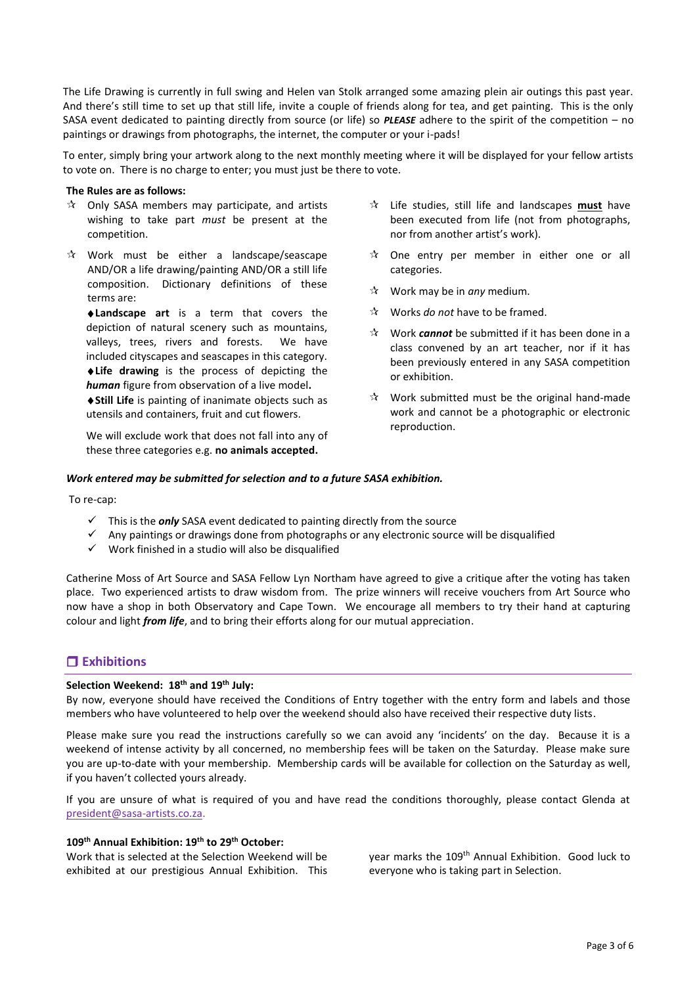The Life Drawing is currently in full swing and Helen van Stolk arranged some amazing plein air outings this past year. And there's still time to set up that still life, invite a couple of friends along for tea, and get painting. This is the only SASA event dedicated to painting directly from source (or life) so *PLEASE* adhere to the spirit of the competition – no paintings or drawings from photographs, the internet, the computer or your i-pads!

To enter, simply bring your artwork along to the next monthly meeting where it will be displayed for your fellow artists to vote on. There is no charge to enter; you must just be there to vote.

#### **The Rules are as follows:**

- $\mathcal{R}$  Only SASA members may participate, and artists wishing to take part *must* be present at the competition.
- $\mathbf{\hat{x}}$  Work must be either a landscape/seascape AND/OR a life drawing/painting AND/OR a still life composition. Dictionary definitions of these terms are:

**Landscape art** is a term that covers the depiction of natural scenery such as mountains, valleys, trees, rivers and forests. We have included cityscapes and seascapes in this category. **Life drawing** is the process of depicting the *human* figure from observation of a live model**.**

**Still Life** is painting of inanimate objects such as utensils and containers, fruit and cut flowers.

We will exclude work that does not fall into any of these three categories e.g. **no animals accepted.**

- Life studies, still life and landscapes **must** have been executed from life (not from photographs, nor from another artist's work).
- $\mathcal{R}$  One entry per member in either one or all categories.
- Work may be in *any* medium.
- Works *do not* have to be framed.
- Work *cannot* be submitted if it has been done in a class convened by an art teacher, nor if it has been previously entered in any SASA competition or exhibition.
- $\hat{x}$  Work submitted must be the original hand-made work and cannot be a photographic or electronic reproduction.

#### *Work entered may be submitted for selection and to a future SASA exhibition.*

To re-cap:

- This is the *only* SASA event dedicated to painting directly from the source
- $\checkmark$  Any paintings or drawings done from photographs or any electronic source will be disqualified
- $\checkmark$  Work finished in a studio will also be disqualified

Catherine Moss of Art Source and SASA Fellow Lyn Northam have agreed to give a critique after the voting has taken place. Two experienced artists to draw wisdom from. The prize winners will receive vouchers from Art Source who now have a shop in both Observatory and Cape Town. We encourage all members to try their hand at capturing colour and light *from life*, and to bring their efforts along for our mutual appreciation.

# **Exhibitions**

#### **Selection Weekend: 18th and 19th July:**

By now, everyone should have received the Conditions of Entry together with the entry form and labels and those members who have volunteered to help over the weekend should also have received their respective duty lists.

Please make sure you read the instructions carefully so we can avoid any 'incidents' on the day. Because it is a weekend of intense activity by all concerned, no membership fees will be taken on the Saturday. Please make sure you are up-to-date with your membership. Membership cards will be available for collection on the Saturday as well, if you haven't collected yours already.

If you are unsure of what is required of you and have read the conditions thoroughly, please contact Glenda at [president@sasa-artists.co.za.](mailto:president@sasa-artists.co.za)

#### **109th Annual Exhibition: 19th to 29th October:**

Work that is selected at the Selection Weekend will be exhibited at our prestigious Annual Exhibition. This year marks the 109<sup>th</sup> Annual Exhibition. Good luck to everyone who is taking part in Selection.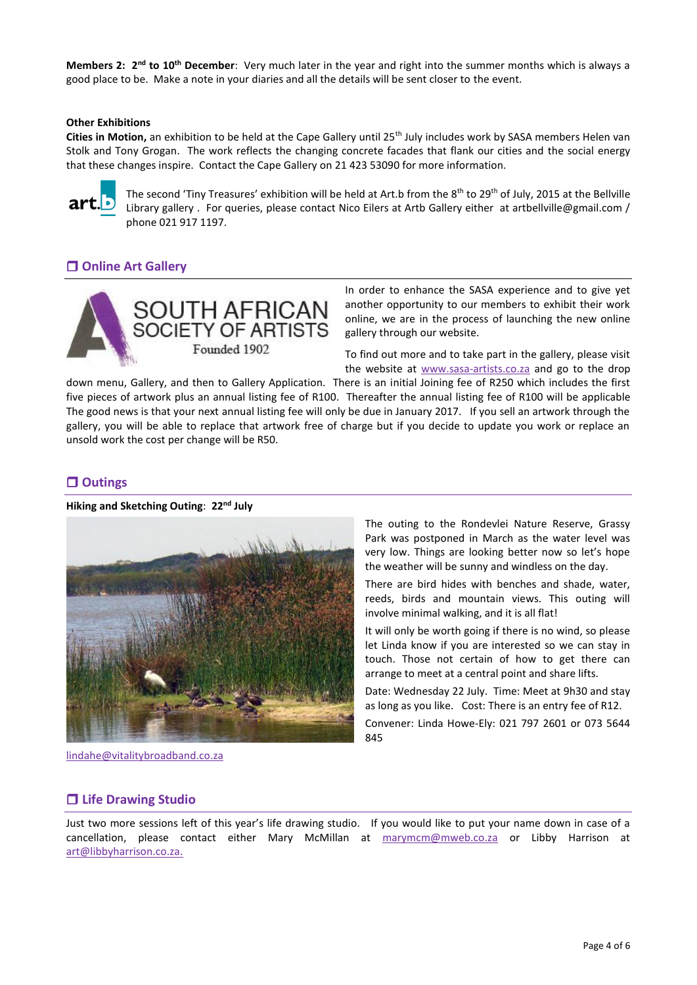**Members 2: 2nd to 10th December**: Very much later in the year and right into the summer months which is always a good place to be. Make a note in your diaries and all the details will be sent closer to the event.

#### **Other Exhibitions**

Cities in Motion, an exhibition to be held at the Cape Gallery until 25<sup>th</sup> July includes work by SASA members Helen van Stolk and Tony Grogan. The work reflects the changing concrete facades that flank our cities and the social energy that these changes inspire. Contact the Cape Gallery on 21 423 53090 for more information.



The second 'Tiny Treasures' exhibition will be held at Art.b from the 8<sup>th</sup> to 29<sup>th</sup> of July, 2015 at the Bellville Library gallery . For queries, please contact Nico Eilers at Artb Gallery either at artbellville@gmail.com / phone 021 917 1197.

# **Online Art Gallery**



In order to enhance the SASA experience and to give yet another opportunity to our members to exhibit their work online, we are in the process of launching the new online gallery through our website.

To find out more and to take part in the gallery, please visit the website at [www.sasa-artists.co.za](http://www.sasa-artists.co.za/) and go to the drop

down menu, Gallery, and then to Gallery Application. There is an initial Joining fee of R250 which includes the first five pieces of artwork plus an annual listing fee of R100. Thereafter the annual listing fee of R100 will be applicable The good news is that your next annual listing fee will only be due in January 2017. If you sell an artwork through the gallery, you will be able to replace that artwork free of charge but if you decide to update you work or replace an unsold work the cost per change will be R50.

## **Outings**

#### **Hiking and Sketching Outing**: **22nd July**



[lindahe@vitalitybroadband.co.za](mailto:lindahe@vitalitybroadband.co.za)

The outing to the Rondevlei Nature Reserve, Grassy Park was postponed in March as the water level was very low. Things are looking better now so let's hope the weather will be sunny and windless on the day.

There are bird hides with benches and shade, water, reeds, birds and mountain views. This outing will involve minimal walking, and it is all flat!

It will only be worth going if there is no wind, so please let Linda know if you are interested so we can stay in touch. Those not certain of how to get there can arrange to meet at a central point and share lifts.

Date: Wednesday 22 July. Time: Meet at 9h30 and stay as long as you like. Cost: There is an entry fee of R12.

Convener: Linda Howe-Ely: 021 797 2601 or 073 5644 845

#### **Life Drawing Studio**

Just two more sessions left of this year's life drawing studio. If you would like to put your name down in case of a cancellation, please contact either Mary McMillan at [marymcm@mweb.co.za](mailto:marymcm@mweb.co.za) or Libby Harrison at [art@libbyharrison.co.za.](mailto:art@libbyharrison.co.za)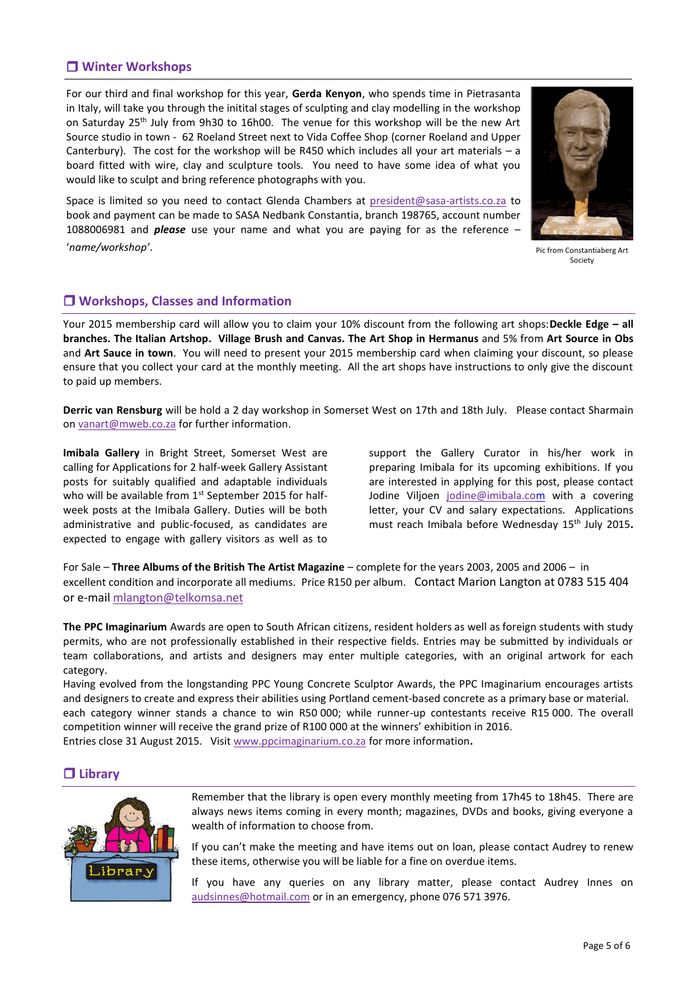# **Winter Workshops**

For our third and final workshop for this year, **Gerda Kenyon**, who spends time in Pietrasanta in Italy, will take you through the initital stages of sculpting and clay modelling in the workshop on Saturday 25<sup>th</sup> July from 9h30 to 16h00. The venue for this workshop will be the new Art Source studio in town - 62 Roeland Street next to Vida Coffee Shop (corner Roeland and Upper Canterbury). The cost for the workshop will be R450 which includes all your art materials – a board fitted with wire, clay and sculpture tools. You need to have some idea of what you would like to sculpt and bring reference photographs with you.

Space is limited so you need to contact Glenda Chambers at [president@sasa-artists.co.za](mailto:president@sasa-artists.co.za) to book and payment can be made to SASA Nedbank Constantia, branch 198765, account number 1088006981 and *please* use your name and what you are paying for as the reference – '*name/workshop'*.



Pic from Constantiaberg Art Society

## **Workshops, Classes and Information**

Your 2015 membership card will allow you to claim your 10% discount from the following art shops:**Deckle Edge – all branches. The Italian Artshop. Village Brush and Canvas. The Art Shop in Hermanus** and 5% from **Art Source in Obs** and **Art Sauce in town**. You will need to present your 2015 membership card when claiming your discount, so please ensure that you collect your card at the monthly meeting. All the art shops have instructions to only give the discount to paid up members.

**Derric van Rensburg** will be hold a 2 day workshop in Somerset West on 17th and 18th July. Please contact Sharmain on [vanart@mweb.co.za](mailto:vanart@mweb.co.za) for further information.

**Imibala Gallery** in Bright Street, Somerset West are calling for Applications for 2 half-week Gallery Assistant posts for suitably qualified and adaptable individuals who will be available from 1<sup>st</sup> September 2015 for halfweek posts at the Imibala Gallery. Duties will be both administrative and public-focused, as candidates are expected to engage with gallery visitors as well as to

support the Gallery Curator in his/her work in preparing Imibala for its upcoming exhibitions. If you are interested in applying for this post, please contact Jodine Viljoen [jodine@imibala.com](mailto:jodine@imibala.com) with a covering letter, your CV and salary expectations. Applications must reach Imibala before Wednesday 15<sup>th</sup> July 2015.

For Sale – **Three Albums of the British The Artist Magazine** – complete for the years 2003, 2005 and 2006 – in excellent condition and incorporate all mediums. Price R150 per album. Contact Marion Langton at 0783 515 404 or e-mai[l mlangton@telkomsa.net](mailto:mlangton@telkomsa.net)

**The PPC Imaginarium** Awards are open to South African citizens, resident holders as well as foreign students with study permits, who are not professionally established in their respective fields. Entries may be submitted by individuals or team collaborations, and artists and designers may enter multiple categories, with an original artwork for each category.

Having evolved from the longstanding PPC Young Concrete Sculptor Awards, the PPC Imaginarium encourages artists and designers to create and express their abilities using Portland cement-based concrete as a primary base or material. each category winner stands a chance to win R50 000; while runner-up contestants receive R15 000. The overall competition winner will receive the grand prize of R100 000 at the winners' exhibition in 2016. Entries close 31 August 2015. Visi[t www.ppcimaginarium.co.za](http://artsouthafrica.us5.list-manage.com/track/click?u=57e12af16ba16f8fba07f3b8d&id=8f418d64a1&e=f623e568dd) for more information**.**

## **Library**



Remember that the library is open every monthly meeting from 17h45 to 18h45. There are always news items coming in every month; magazines, DVDs and books, giving everyone a wealth of information to choose from.

If you can't make the meeting and have items out on loan, please contact Audrey to renew these items, otherwise you will be liable for a fine on overdue items.

If you have any queries on any library matter, please contact Audrey Innes on [audsinnes@hotmail.com](mailto:audsinnes@hotmail.com) or in an emergency, phone 076 571 3976.